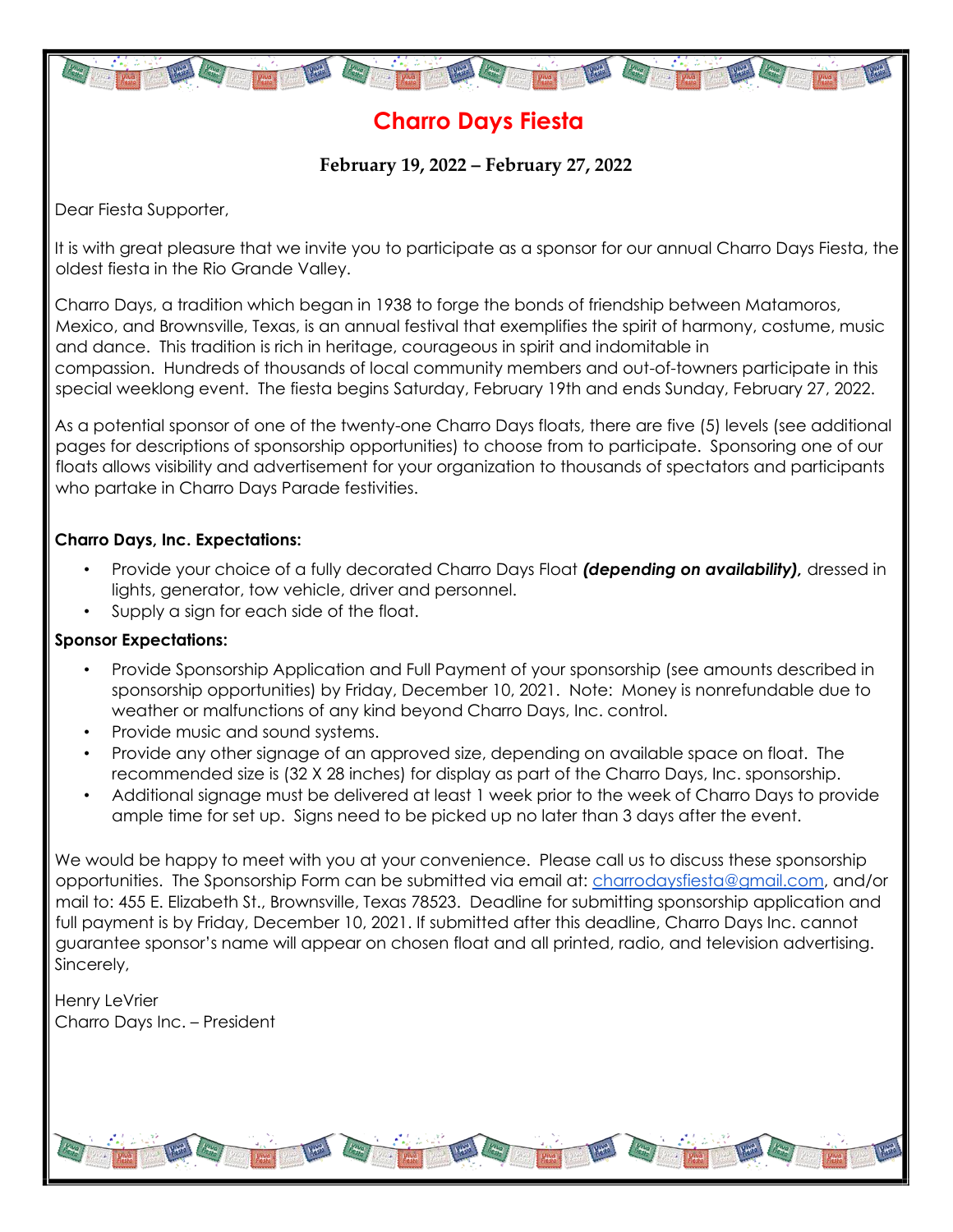

## **Charro Days Fiesta**

**February 19, 2022 – February 27, 2022**

Dear Fiesta Supporter,

It is with great pleasure that we invite you to participate as a sponsor for our annual Charro Days Fiesta, the oldest fiesta in the Rio Grande Valley.

Charro Days, a tradition which began in 1938 to forge the bonds of friendship between Matamoros, Mexico, and Brownsville, Texas, is an annual festival that exemplifies the spirit of harmony, costume, music and dance. This tradition is rich in heritage, courageous in spirit and indomitable in compassion. Hundreds of thousands of local community members and out-of-towners participate in this special weeklong event. The fiesta begins Saturday, February 19th and ends Sunday, February 27, 2022.

As a potential sponsor of one of the twenty-one Charro Days floats, there are five (5) levels (see additional pages for descriptions of sponsorship opportunities) to choose from to participate. Sponsoring one of our floats allows visibility and advertisement for your organization to thousands of spectators and participants who partake in Charro Days Parade festivities.

#### **Charro Days, Inc. Expectations:**

- Provide your choice of a fully decorated Charro Days Float *(depending on availability),* dressed in lights, generator, tow vehicle, driver and personnel.
- Supply a sign for each side of the float.

#### **Sponsor Expectations:**

- Provide Sponsorship Application and Full Payment of your sponsorship (see amounts described in sponsorship opportunities) by Friday, December 10, 2021. Note: Money is nonrefundable due to weather or malfunctions of any kind beyond Charro Days, Inc. control.
- Provide music and sound systems.
- Provide any other signage of an approved size, depending on available space on float. The recommended size is (32 X 28 inches) for display as part of the Charro Days, Inc. sponsorship.
- Additional signage must be delivered at least 1 week prior to the week of Charro Days to provide ample time for set up. Signs need to be picked up no later than 3 days after the event.

We would be happy to meet with you at your convenience. Please call us to discuss these sponsorship opportunities. The Sponsorship Form can be submitted via email at: charrodaysfiesta@gmail.com, and/or mail to: 455 E. Elizabeth St., Brownsville, Texas 78523. Deadline for submitting sponsorship application and full payment is by Friday, December 10, 2021. If submitted after this deadline, Charro Days Inc. cannot guarantee sponsor's name will appear on chosen float and all printed, radio, and television advertising. Sincerely,

Henry LeVrier Charro Days Inc. – President

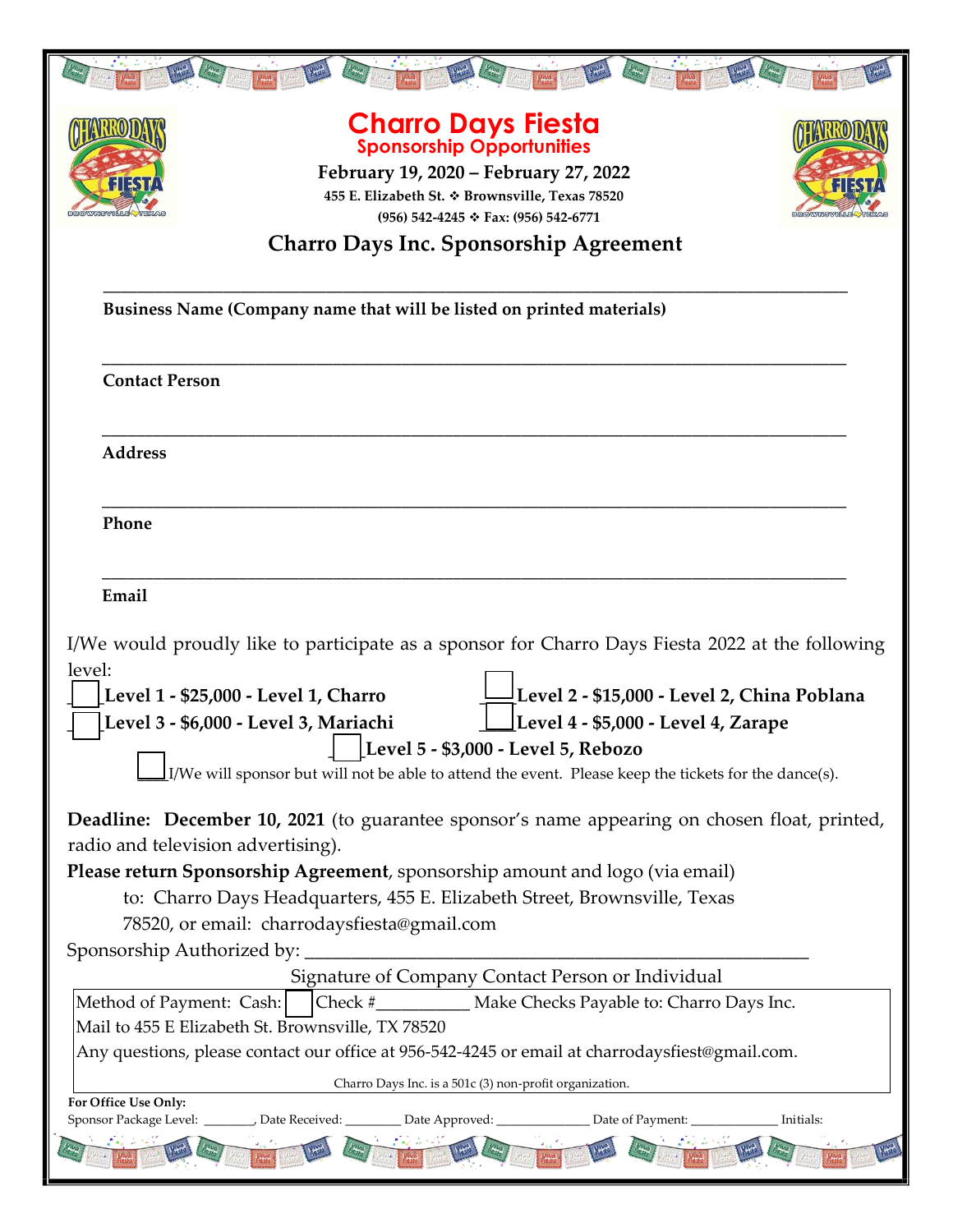| <b>Charro Days Fiesta</b><br><b>Sponsorship Opportunities</b><br>February 19, 2020 – February 27, 2022<br>$1174$<br>455 E. Elizabeth St. * Brownsville, Texas 78520<br>(956) 542-4245 ↔ Fax: (956) 542-6771                                                                                                                                                                                                                                |  |
|--------------------------------------------------------------------------------------------------------------------------------------------------------------------------------------------------------------------------------------------------------------------------------------------------------------------------------------------------------------------------------------------------------------------------------------------|--|
| <b>Charro Days Inc. Sponsorship Agreement</b>                                                                                                                                                                                                                                                                                                                                                                                              |  |
| Business Name (Company name that will be listed on printed materials)                                                                                                                                                                                                                                                                                                                                                                      |  |
| <b>Contact Person</b>                                                                                                                                                                                                                                                                                                                                                                                                                      |  |
| <b>Address</b>                                                                                                                                                                                                                                                                                                                                                                                                                             |  |
| Phone                                                                                                                                                                                                                                                                                                                                                                                                                                      |  |
| Email                                                                                                                                                                                                                                                                                                                                                                                                                                      |  |
| I/We would proudly like to participate as a sponsor for Charro Days Fiesta 2022 at the following<br>level:<br>Level 2 - \$15,000 - Level 2, China Poblana<br><b>Level 1 - \$25,000 - Level 1, Charro</b><br>Level 4 - \$5,000 - Level 4, Zarape<br>Level 3 - \$6,000 - Level 3, Mariachi<br>[Level 5 - \$3,000 - Level 5, Rebozo]<br>I/We will sponsor but will not be able to attend the event. Please keep the tickets for the dance(s). |  |
| <b>Deadline:</b> December 10, 2021 (to guarantee sponsor's name appearing on chosen float, printed,                                                                                                                                                                                                                                                                                                                                        |  |
| radio and television advertising).<br>Please return Sponsorship Agreement, sponsorship amount and logo (via email)                                                                                                                                                                                                                                                                                                                         |  |
| to: Charro Days Headquarters, 455 E. Elizabeth Street, Brownsville, Texas<br>78520, or email: charrodaysfiesta@gmail.com<br>Sponsorship Authorized by:                                                                                                                                                                                                                                                                                     |  |
| Signature of Company Contact Person or Individual                                                                                                                                                                                                                                                                                                                                                                                          |  |
| Check #_____________ Make Checks Payable to: Charro Days Inc.<br>Method of Payment: Cash:<br>Mail to 455 E Elizabeth St. Brownsville, TX 78520                                                                                                                                                                                                                                                                                             |  |
| Any questions, please contact our office at 956-542-4245 or email at charrodaysfiest@gmail.com.                                                                                                                                                                                                                                                                                                                                            |  |
| Charro Days Inc. is a 501c (3) non-profit organization.                                                                                                                                                                                                                                                                                                                                                                                    |  |
| For Office Use Only:                                                                                                                                                                                                                                                                                                                                                                                                                       |  |
| Sponsor Package Level: ________, Date Received: _________ Date Approved: _______________ Date of Payment: _<br>Initials:                                                                                                                                                                                                                                                                                                                   |  |